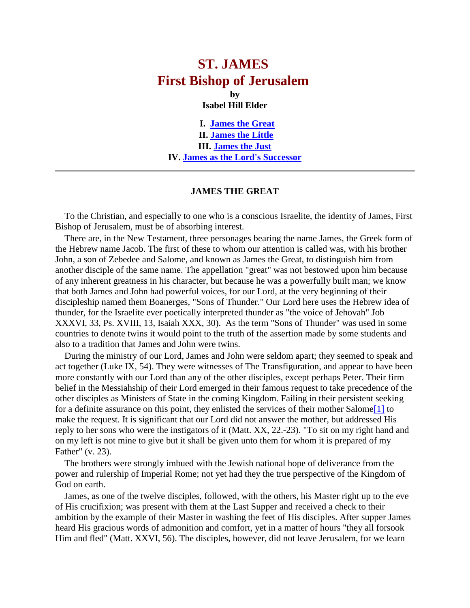## **ST. JAMES First Bishop of Jerusalem by**

**Isabel Hill Elder**

**I. [James the Great](http://www.originofnations.org/old_bi_literature/St%20James.htm#JAMES%20THE%20GREAT) II. [James the Little](http://www.originofnations.org/old_bi_literature/St%20James.htm#JAMES%20THE%20JUST) III. [James the Just](http://www.originofnations.org/old_bi_literature/St%20James.htm#JAMES%20THE%20JUST) IV. [James as the Lord's Successor](http://www.originofnations.org/old_bi_literature/St%20James.htm#ADDENDUM)**

## **JAMES THE GREAT**

 To the Christian, and especially to one who is a conscious Israelite, the identity of James, First Bishop of Jerusalem, must be of absorbing interest.

 There are, in the New Testament, three personages bearing the name James, the Greek form of the Hebrew name Jacob. The first of these to whom our attention is called was, with his brother John, a son of Zebedee and Salome, and known as James the Great, to distinguish him from another disciple of the same name. The appellation "great" was not bestowed upon him because of any inherent greatness in his character, but because he was a powerfully built man; we know that both James and John had powerful voices, for our Lord, at the very beginning of their discipleship named them Boanerges, "Sons of Thunder." Our Lord here uses the Hebrew idea of thunder, for the Israelite ever poetically interpreted thunder as "the voice of Jehovah" Job XXXVI, 33, Ps. XVIII, 13, Isaiah XXX, 30). As the term "Sons of Thunder" was used in some countries to denote twins it would point to the truth of the assertion made by some students and also to a tradition that James and John were twins.

 During the ministry of our Lord, James and John were seldom apart; they seemed to speak and act together (Luke IX, 54). They were witnesses of The Transfiguration, and appear to have been more constantly with our Lord than any of the other disciples, except perhaps Peter. Their firm belief in the Messiahship of their Lord emerged in their famous request to take precedence of the other disciples as Ministers of State in the coming Kingdom. Failing in their persistent seeking for a definite assurance on this point, they enlisted the services of their mother Salom[e\[1\]](http://www.grailchurch.org/bishopjames.htm#Footnotes:) to make the request. It is significant that our Lord did not answer the mother, but addressed His reply to her sons who were the instigators of it (Matt. XX, 22.-23). "To sit on my right hand and on my left is not mine to give but it shall be given unto them for whom it is prepared of my Father" (v. 23).

 The brothers were strongly imbued with the Jewish national hope of deliverance from the power and rulership of Imperial Rome; not yet had they the true perspective of the Kingdom of God on earth.

 James, as one of the twelve disciples, followed, with the others, his Master right up to the eve of His crucifixion; was present with them at the Last Supper and received a check to their ambition by the example of their Master in washing the feet of His disciples. After supper James heard His gracious words of admonition and comfort, yet in a matter of hours "they all forsook Him and fled" (Matt. XXVI, 56). The disciples, however, did not leave Jerusalem, for we learn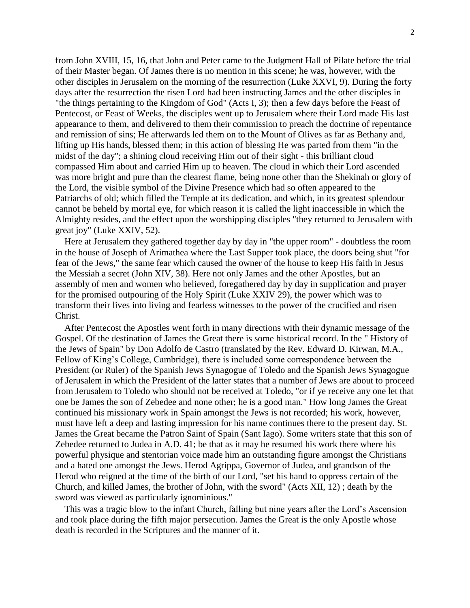from John XVIII, 15, 16, that John and Peter came to the Judgment Hall of Pilate before the trial of their Master began. Of James there is no mention in this scene; he was, however, with the other disciples in Jerusalem on the morning of the resurrection (Luke XXVI, 9). During the forty days after the resurrection the risen Lord had been instructing James and the other disciples in "the things pertaining to the Kingdom of God" (Acts I, 3); then a few days before the Feast of Pentecost, or Feast of Weeks, the disciples went up to Jerusalem where their Lord made His last appearance to them, and delivered to them their commission to preach the doctrine of repentance and remission of sins; He afterwards led them on to the Mount of Olives as far as Bethany and, lifting up His hands, blessed them; in this action of blessing He was parted from them "in the midst of the day"; a shining cloud receiving Him out of their sight - this brilliant cloud compassed Him about and carried Him up to heaven. The cloud in which their Lord ascended was more bright and pure than the clearest flame, being none other than the Shekinah or glory of the Lord, the visible symbol of the Divine Presence which had so often appeared to the Patriarchs of old; which filled the Temple at its dedication, and which, in its greatest splendour cannot be beheld by mortal eye, for which reason it is called the light inaccessible in which the Almighty resides, and the effect upon the worshipping disciples "they returned to Jerusalem with great joy" (Luke XXIV, 52).

 Here at Jerusalem they gathered together day by day in "the upper room" - doubtless the room in the house of Joseph of Arimathea where the Last Supper took place, the doors being shut "for fear of the Jews," the same fear which caused the owner of the house to keep His faith in Jesus the Messiah a secret (John XIV, 38). Here not only James and the other Apostles, but an assembly of men and women who believed, foregathered day by day in supplication and prayer for the promised outpouring of the Holy Spirit (Luke XXIV 29), the power which was to transform their lives into living and fearless witnesses to the power of the crucified and risen Christ.

 After Pentecost the Apostles went forth in many directions with their dynamic message of the Gospel. Of the destination of James the Great there is some historical record. In the " History of the Jews of Spain" by Don Adolfo de Castro (translated by the Rev. Edward D. Kirwan, M.A., Fellow of King's College, Cambridge), there is included some correspondence between the President (or Ruler) of the Spanish Jews Synagogue of Toledo and the Spanish Jews Synagogue of Jerusalem in which the President of the latter states that a number of Jews are about to proceed from Jerusalem to Toledo who should not be received at Toledo, "or if ye receive any one let that one be James the son of Zebedee and none other; he is a good man." How long James the Great continued his missionary work in Spain amongst the Jews is not recorded; his work, however, must have left a deep and lasting impression for his name continues there to the present day. St. James the Great became the Patron Saint of Spain (Sant Iago). Some writers state that this son of Zebedee returned to Judea in A.D. 41; be that as it may he resumed his work there where his powerful physique and stentorian voice made him an outstanding figure amongst the Christians and a hated one amongst the Jews. Herod Agrippa, Governor of Judea, and grandson of the Herod who reigned at the time of the birth of our Lord, "set his hand to oppress certain of the Church, and killed James, the brother of John, with the sword" (Acts XII, 12) ; death by the sword was viewed as particularly ignominious."

 This was a tragic blow to the infant Church, falling but nine years after the Lord's Ascension and took place during the fifth major persecution. James the Great is the only Apostle whose death is recorded in the Scriptures and the manner of it.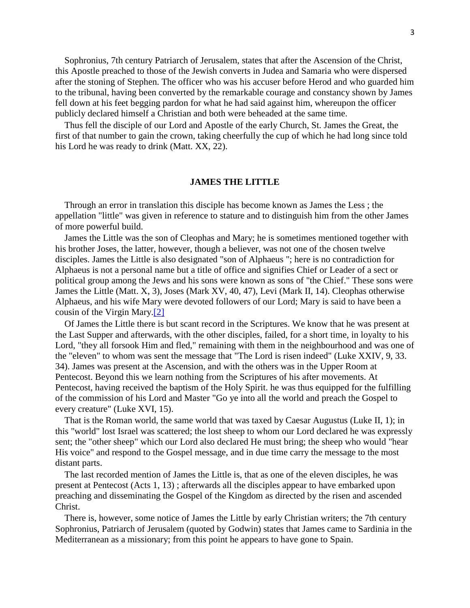Sophronius, 7th century Patriarch of Jerusalem, states that after the Ascension of the Christ, this Apostle preached to those of the Jewish converts in Judea and Samaria who were dispersed after the stoning of Stephen. The officer who was his accuser before Herod and who guarded him to the tribunal, having been converted by the remarkable courage and constancy shown by James fell down at his feet begging pardon for what he had said against him, whereupon the officer publicly declared himself a Christian and both were beheaded at the same time.

 Thus fell the disciple of our Lord and Apostle of the early Church, St. James the Great, the first of that number to gain the crown, taking cheerfully the cup of which he had long since told his Lord he was ready to drink (Matt. XX, 22).

## **JAMES THE LITTLE**

 Through an error in translation this disciple has become known as James the Less ; the appellation "little" was given in reference to stature and to distinguish him from the other James of more powerful build.

 James the Little was the son of Cleophas and Mary; he is sometimes mentioned together with his brother Joses, the latter, however, though a believer, was not one of the chosen twelve disciples. James the Little is also designated "son of Alphaeus "; here is no contradiction for Alphaeus is not a personal name but a title of office and signifies Chief or Leader of a sect or political group among the Jews and his sons were known as sons of "the Chief." These sons were James the Little (Matt. X, 3), Joses (Mark XV, 40, 47), Levi (Mark II, 14). Cleophas otherwise Alphaeus, and his wife Mary were devoted followers of our Lord; Mary is said to have been a cousin of the Virgin Mary[.\[2\]](http://www.grailchurch.org/bishopjames.htm#Footnotes:)

 Of James the Little there is but scant record in the Scriptures. We know that he was present at the Last Supper and afterwards, with the other disciples, failed, for a short time, in loyalty to his Lord, "they all forsook Him and fled," remaining with them in the neighbourhood and was one of the "eleven" to whom was sent the message that "The Lord is risen indeed" (Luke XXIV, 9, 33. 34). James was present at the Ascension, and with the others was in the Upper Room at Pentecost. Beyond this we learn nothing from the Scriptures of his after movements. At Pentecost, having received the baptism of the Holy Spirit. he was thus equipped for the fulfilling of the commission of his Lord and Master "Go ye into all the world and preach the Gospel to every creature" (Luke XVI, 15).

 That is the Roman world, the same world that was taxed by Caesar Augustus (Luke II, 1); in this "world" lost Israel was scattered; the lost sheep to whom our Lord declared he was expressly sent; the "other sheep" which our Lord also declared He must bring; the sheep who would "hear His voice" and respond to the Gospel message, and in due time carry the message to the most distant parts.

 The last recorded mention of James the Little is, that as one of the eleven disciples, he was present at Pentecost (Acts 1, 13) ; afterwards all the disciples appear to have embarked upon preaching and disseminating the Gospel of the Kingdom as directed by the risen and ascended Christ.

 There is, however, some notice of James the Little by early Christian writers; the 7th century Sophronius, Patriarch of Jerusalem (quoted by Godwin) states that James came to Sardinia in the Mediterranean as a missionary; from this point he appears to have gone to Spain.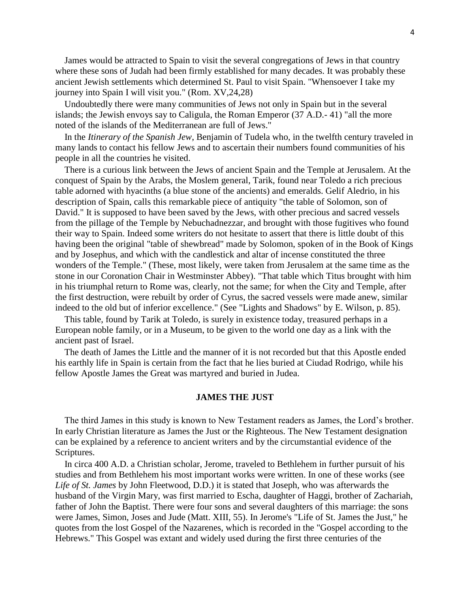James would be attracted to Spain to visit the several congregations of Jews in that country where these sons of Judah had been firmly established for many decades. It was probably these ancient Jewish settlements which determined St. Paul to visit Spain. "Whensoever I take my journey into Spain I will visit you." (Rom. XV,24,28)

 Undoubtedly there were many communities of Jews not only in Spain but in the several islands; the Jewish envoys say to Caligula, the Roman Emperor (37 A.D.- 41) "all the more noted of the islands of the Mediterranean are full of Jews."

 In the *Itinerary of the Spanish Jew*, Benjamin of Tudela who, in the twelfth century traveled in many lands to contact his fellow Jews and to ascertain their numbers found communities of his people in all the countries he visited.

 There is a curious link between the Jews of ancient Spain and the Temple at Jerusalem. At the conquest of Spain by the Arabs, the Moslem general, Tarik, found near Toledo a rich precious table adorned with hyacinths (a blue stone of the ancients) and emeralds. Gelif Aledrio, in his description of Spain, calls this remarkable piece of antiquity "the table of Solomon, son of David." It is supposed to have been saved by the Jews, with other precious and sacred vessels from the pillage of the Temple by Nebuchadnezzar, and brought with those fugitives who found their way to Spain. Indeed some writers do not hesitate to assert that there is little doubt of this having been the original "table of shewbread" made by Solomon, spoken of in the Book of Kings and by Josephus, and which with the candlestick and altar of incense constituted the three wonders of the Temple." (These, most likely, were taken from Jerusalem at the same time as the stone in our Coronation Chair in Westminster Abbey). "That table which Titus brought with him in his triumphal return to Rome was, clearly, not the same; for when the City and Temple, after the first destruction, were rebuilt by order of Cyrus, the sacred vessels were made anew, similar indeed to the old but of inferior excellence." (See "Lights and Shadows" by E. Wilson, p. 85).

 This table, found by Tarik at Toledo, is surely in existence today, treasured perhaps in a European noble family, or in a Museum, to be given to the world one day as a link with the ancient past of Israel.

 The death of James the Little and the manner of it is not recorded but that this Apostle ended his earthly life in Spain is certain from the fact that he lies buried at Ciudad Rodrigo, while his fellow Apostle James the Great was martyred and buried in Judea.

## **JAMES THE JUST**

 The third James in this study is known to New Testament readers as James, the Lord's brother. In early Christian literature as James the Just or the Righteous. The New Testament designation can be explained by a reference to ancient writers and by the circumstantial evidence of the Scriptures.

 In circa 400 A.D. a Christian scholar, Jerome, traveled to Bethlehem in further pursuit of his studies and from Bethlehem his most important works were written. In one of these works (see *Life of St. James* by John Fleetwood, D.D.) it is stated that Joseph, who was afterwards the husband of the Virgin Mary, was first married to Escha, daughter of Haggi, brother of Zachariah, father of John the Baptist. There were four sons and several daughters of this marriage: the sons were James, Simon, Joses and Jude (Matt. XIII, 55). In Jerome's "Life of St. James the Just," he quotes from the lost Gospel of the Nazarenes, which is recorded in the "Gospel according to the Hebrews." This Gospel was extant and widely used during the first three centuries of the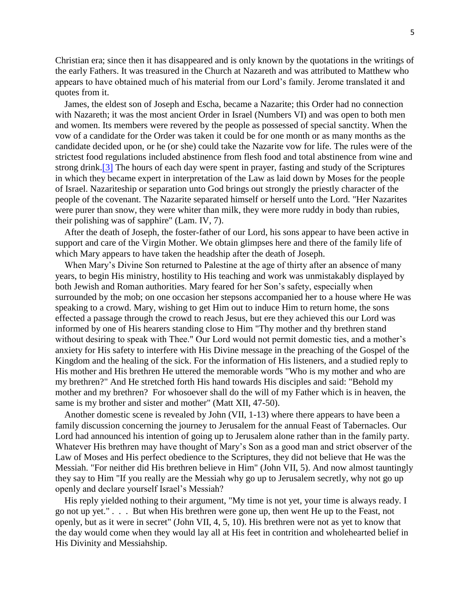Christian era; since then it has disappeared and is only known by the quotations in the writings of the early Fathers. It was treasured in the Church at Nazareth and was attributed to Matthew who appears to have obtained much of his material from our Lord's family. Jerome translated it and quotes from it.

 James, the eldest son of Joseph and Escha, became a Nazarite; this Order had no connection with Nazareth; it was the most ancient Order in Israel (Numbers VI) and was open to both men and women. Its members were revered by the people as possessed of special sanctity. When the vow of a candidate for the Order was taken it could be for one month or as many months as the candidate decided upon, or he (or she) could take the Nazarite vow for life. The rules were of the strictest food regulations included abstinence from flesh food and total abstinence from wine and strong drink[.\[3\]](http://www.grailchurch.org/bishopjames.htm#Footnotes:) The hours of each day were spent in prayer, fasting and study of the Scriptures in which they became expert in interpretation of the Law as laid down by Moses for the people of Israel. Nazariteship or separation unto God brings out strongly the priestly character of the people of the covenant. The Nazarite separated himself or herself unto the Lord. "Her Nazarites were purer than snow, they were whiter than milk, they were more ruddy in body than rubies, their polishing was of sapphire" (Lam. IV, 7).

 After the death of Joseph, the foster-father of our Lord, his sons appear to have been active in support and care of the Virgin Mother. We obtain glimpses here and there of the family life of which Mary appears to have taken the headship after the death of Joseph.

 When Mary's Divine Son returned to Palestine at the age of thirty after an absence of many years, to begin His ministry, hostility to His teaching and work was unmistakably displayed by both Jewish and Roman authorities. Mary feared for her Son's safety, especially when surrounded by the mob; on one occasion her stepsons accompanied her to a house where He was speaking to a crowd. Mary, wishing to get Him out to induce Him to return home, the sons effected a passage through the crowd to reach Jesus, but ere they achieved this our Lord was informed by one of His hearers standing close to Him "Thy mother and thy brethren stand without desiring to speak with Thee." Our Lord would not permit domestic ties, and a mother's anxiety for His safety to interfere with His Divine message in the preaching of the Gospel of the Kingdom and the healing of the sick. For the information of His listeners, and a studied reply to His mother and His brethren He uttered the memorable words "Who is my mother and who are my brethren?" And He stretched forth His hand towards His disciples and said: "Behold my mother and my brethren? For whosoever shall do the will of my Father which is in heaven, the same is my brother and sister and mother" (Matt XII, 47-50).

 Another domestic scene is revealed by John (VII, 1-13) where there appears to have been a family discussion concerning the journey to Jerusalem for the annual Feast of Tabernacles. Our Lord had announced his intention of going up to Jerusalem alone rather than in the family party. Whatever His brethren may have thought of Mary's Son as a good man and strict observer of the Law of Moses and His perfect obedience to the Scriptures, they did not believe that He was the Messiah. "For neither did His brethren believe in Him" (John VII, 5). And now almost tauntingly they say to Him "If you really are the Messiah why go up to Jerusalem secretly, why not go up openly and declare yourself Israel's Messiah?

 His reply yielded nothing to their argument, "My time is not yet, your time is always ready. I go not up yet." . . . But when His brethren were gone up, then went He up to the Feast, not openly, but as it were in secret" (John VII, 4, 5, 10). His brethren were not as yet to know that the day would come when they would lay all at His feet in contrition and wholehearted belief in His Divinity and Messiahship.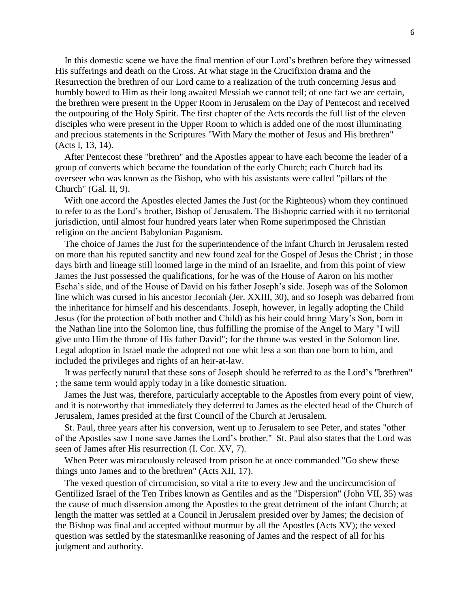In this domestic scene we have the final mention of our Lord's brethren before they witnessed His sufferings and death on the Cross. At what stage in the Crucifixion drama and the Resurrection the brethren of our Lord came to a realization of the truth concerning Jesus and humbly bowed to Him as their long awaited Messiah we cannot tell; of one fact we are certain, the brethren were present in the Upper Room in Jerusalem on the Day of Pentecost and received the outpouring of the Holy Spirit. The first chapter of the Acts records the full list of the eleven disciples who were present in the Upper Room to which is added one of the most illuminating and precious statements in the Scriptures "With Mary the mother of Jesus and His brethren" (Acts I, 13, 14).

 After Pentecost these "brethren" and the Apostles appear to have each become the leader of a group of converts which became the foundation of the early Church; each Church had its overseer who was known as the Bishop, who with his assistants were called "pillars of the Church" (Gal. II, 9).

 With one accord the Apostles elected James the Just (or the Righteous) whom they continued to refer to as the Lord's brother, Bishop of Jerusalem. The Bishopric carried with it no territorial jurisdiction, until almost four hundred years later when Rome superimposed the Christian religion on the ancient Babylonian Paganism.

 The choice of James the Just for the superintendence of the infant Church in Jerusalem rested on more than his reputed sanctity and new found zeal for the Gospel of Jesus the Christ ; in those days birth and lineage still loomed large in the mind of an Israelite, and from this point of view James the Just possessed the qualifications, for he was of the House of Aaron on his mother Escha's side, and of the House of David on his father Joseph's side. Joseph was of the Solomon line which was cursed in his ancestor Jeconiah (Jer. XXIII, 30), and so Joseph was debarred from the inheritance for himself and his descendants. Joseph, however, in legally adopting the Child Jesus (for the protection of both mother and Child) as his heir could bring Mary's Son, born in the Nathan line into the Solomon line, thus fulfilling the promise of the Angel to Mary "I will give unto Him the throne of His father David"; for the throne was vested in the Solomon line. Legal adoption in Israel made the adopted not one whit less a son than one born to him, and included the privileges and rights of an heir-at-law.

 It was perfectly natural that these sons of Joseph should he referred to as the Lord's "brethren" ; the same term would apply today in a like domestic situation.

 James the Just was, therefore, particularly acceptable to the Apostles from every point of view, and it is noteworthy that immediately they deferred to James as the elected head of the Church of Jerusalem, James presided at the first Council of the Church at Jerusalem.

 St. Paul, three years after his conversion, went up to Jerusalem to see Peter, and states "other of the Apostles saw I none save James the Lord's brother." St. Paul also states that the Lord was seen of James after His resurrection (I. Cor. XV, 7).

 When Peter was miraculously released from prison he at once commanded "Go shew these things unto James and to the brethren" (Acts XII, 17).

 The vexed question of circumcision, so vital a rite to every Jew and the uncircumcision of Gentilized Israel of the Ten Tribes known as Gentiles and as the "Dispersion" (John VII, 35) was the cause of much dissension among the Apostles to the great detriment of the infant Church; at length the matter was settled at a Council in Jerusalem presided over by James; the decision of the Bishop was final and accepted without murmur by all the Apostles (Acts XV); the vexed question was settled by the statesmanlike reasoning of James and the respect of all for his judgment and authority.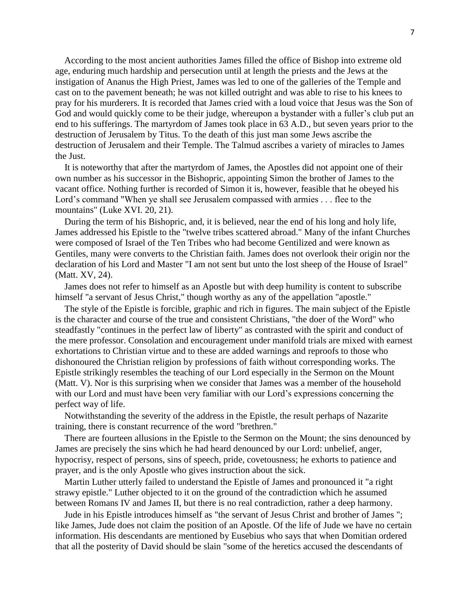According to the most ancient authorities James filled the office of Bishop into extreme old age, enduring much hardship and persecution until at length the priests and the Jews at the instigation of Ananus the High Priest, James was led to one of the galleries of the Temple and cast on to the pavement beneath; he was not killed outright and was able to rise to his knees to pray for his murderers. It is recorded that James cried with a loud voice that Jesus was the Son of God and would quickly come to be their judge, whereupon a bystander with a fuller's club put an end to his sufferings. The martyrdom of James took place in 63 A.D., but seven years prior to the destruction of Jerusalem by Titus. To the death of this just man some Jews ascribe the destruction of Jerusalem and their Temple. The Talmud ascribes a variety of miracles to James the Just.

 It is noteworthy that after the martyrdom of James, the Apostles did not appoint one of their own number as his successor in the Bishopric, appointing Simon the brother of James to the vacant office. Nothing further is recorded of Simon it is, however, feasible that he obeyed his Lord's command "When ye shall see Jerusalem compassed with armies . . . flee to the mountains" (Luke XVI. 20, 21).

 During the term of his Bishopric, and, it is believed, near the end of his long and holy life, James addressed his Epistle to the "twelve tribes scattered abroad." Many of the infant Churches were composed of Israel of the Ten Tribes who had become Gentilized and were known as Gentiles, many were converts to the Christian faith. James does not overlook their origin nor the declaration of his Lord and Master "I am not sent but unto the lost sheep of the House of Israel" (Matt. XV, 24).

 James does not refer to himself as an Apostle but with deep humility is content to subscribe himself "a servant of Jesus Christ," though worthy as any of the appellation "apostle."

 The style of the Epistle is forcible, graphic and rich in figures. The main subject of the Epistle is the character and course of the true and consistent Christians, "the doer of the Word" who steadfastly "continues in the perfect law of liberty" as contrasted with the spirit and conduct of the mere professor. Consolation and encouragement under manifold trials are mixed with earnest exhortations to Christian virtue and to these are added warnings and reproofs to those who dishonoured the Christian religion by professions of faith without corresponding works. The Epistle strikingly resembles the teaching of our Lord especially in the Sermon on the Mount (Matt. V). Nor is this surprising when we consider that James was a member of the household with our Lord and must have been very familiar with our Lord's expressions concerning the perfect way of life.

 Notwithstanding the severity of the address in the Epistle, the result perhaps of Nazarite training, there is constant recurrence of the word "brethren."

 There are fourteen allusions in the Epistle to the Sermon on the Mount; the sins denounced by James are precisely the sins which he had heard denounced by our Lord: unbelief, anger, hypocrisy, respect of persons, sins of speech, pride, covetousness; he exhorts to patience and prayer, and is the only Apostle who gives instruction about the sick.

 Martin Luther utterly failed to understand the Epistle of James and pronounced it "a right strawy epistle." Luther objected to it on the ground of the contradiction which he assumed between Romans IV and James II, but there is no real contradiction, rather a deep harmony.

 Jude in his Epistle introduces himself as "the servant of Jesus Christ and brother of James "; like James, Jude does not claim the position of an Apostle. Of the life of Jude we have no certain information. His descendants are mentioned by Eusebius who says that when Domitian ordered that all the posterity of David should be slain "some of the heretics accused the descendants of